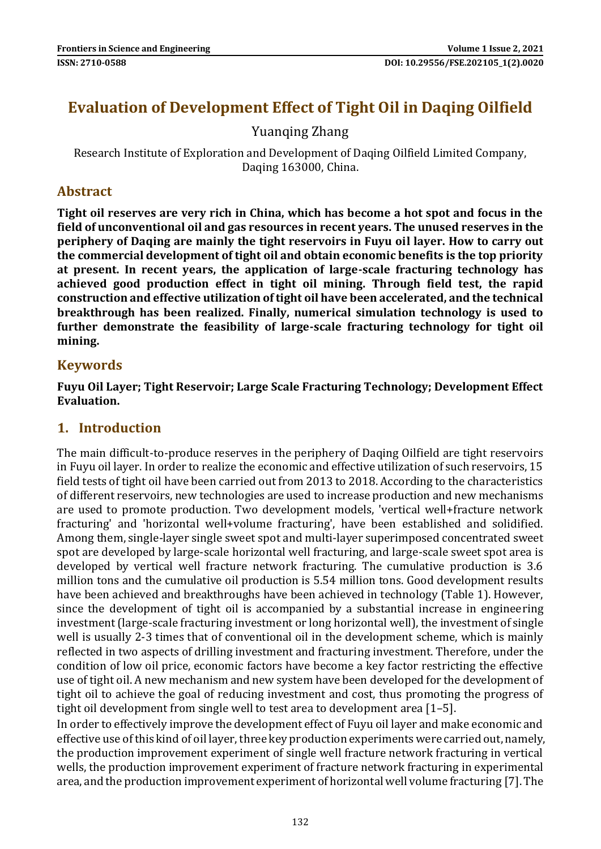# **Evaluation of Development Effect of Tight Oil in Daqing Oilfield**

Yuanqing Zhang

Research Institute of Exploration and Development of Daqing Oilfield Limited Company, Daqing 163000, China.

### **Abstract**

**Tight oil reserves are very rich in China, which has become a hot spot and focus in the field of unconventional oil and gas resources in recent years. The unused reserves in the periphery of Daqing are mainly the tight reservoirs in Fuyu oil layer. How to carry out the commercial development of tight oil and obtain economic benefits is the top priority at present. In recent years, the application of large-scale fracturing technology has achieved good production effect in tight oil mining. Through field test, the rapid construction and effective utilization of tight oil have been accelerated, and the technical breakthrough has been realized. Finally, numerical simulation technology is used to further demonstrate the feasibility of large-scale fracturing technology for tight oil mining.**

#### **Keywords**

**Fuyu Oil Layer; Tight Reservoir; Large Scale Fracturing Technology; Development Effect Evaluation.**

#### **1. Introduction**

The main difficult-to-produce reserves in the periphery of Daqing Oilfield are tight reservoirs in Fuyu oil layer. In order to realize the economic and effective utilization of such reservoirs, 15 field tests of tight oil have been carried out from 2013 to 2018. According to the characteristics of different reservoirs, new technologies are used to increase production and new mechanisms are used to promote production. Two development models, 'vertical well+fracture network fracturing' and 'horizontal well+volume fracturing', have been established and solidified. Among them, single-layer single sweet spot and multi-layer superimposed concentrated sweet spot are developed by large-scale horizontal well fracturing, and large-scale sweet spot area is developed by vertical well fracture network fracturing. The cumulative production is 3.6 million tons and the cumulative oil production is 5.54 million tons. Good development results have been achieved and breakthroughs have been achieved in technology (Table 1). However, since the development of tight oil is accompanied by a substantial increase in engineering investment (large-scale fracturing investment or long horizontal well), the investment of single well is usually 2-3 times that of conventional oil in the development scheme, which is mainly reflected in two aspects of drilling investment and fracturing investment. Therefore, under the condition of low oil price, economic factors have become a key factor restricting the effective use of tight oil. A new mechanism and new system have been developed for the development of tight oil to achieve the goal of reducing investment and cost, thus promoting the progress of tight oil development from single well to test area to development area [1–5].

In order to effectively improve the development effect of Fuyu oil layer and make economic and effective use of this kind of oil layer, three key production experiments were carried out, namely, the production improvement experiment of single well fracture network fracturing in vertical wells, the production improvement experiment of fracture network fracturing in experimental area, and the production improvement experiment of horizontal well volume fracturing [7]. The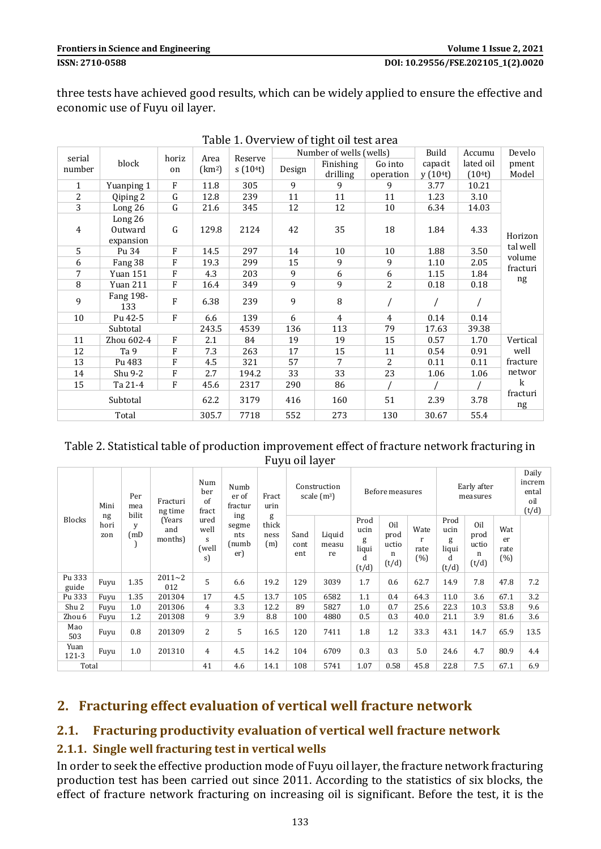three tests have achieved good results, which can be widely applied to ensure the effective and economic use of Fuyu oil layer.

| Table 1. Overview of tight on test area |                                 |              |                    |         |        |                         |                      |                    |                     |                |
|-----------------------------------------|---------------------------------|--------------|--------------------|---------|--------|-------------------------|----------------------|--------------------|---------------------|----------------|
| serial                                  |                                 | horiz        | Area               | Reserve |        | Number of wells (wells) |                      | Build              | Accumu              | Develo         |
| number                                  | block                           | on           | (km <sup>2</sup> ) | s(104t) | Design | Finishing<br>drilling   | Go into<br>operation | capacit<br>y(104t) | lated oil<br>(104t) | pment<br>Model |
| $\mathbf{1}$                            | Yuanping 1                      | ${\bf F}$    | 11.8               | 305     | 9      | 9                       | 9                    | 3.77               | 10.21               |                |
| 2                                       | Qiping 2                        | ${\bf G}$    | 12.8               | 239     | 11     | 11                      | 11                   | 1.23               | 3.10                |                |
| 3                                       | Long $26$                       | G            | 21.6               | 345     | 12     | 12                      | 10                   | 6.34               | 14.03               |                |
| 4                                       | Long 26<br>Outward<br>expansion | G            | 129.8              | 2124    | 42     | 35                      | 18                   | 1.84               | 4.33                | Horizon        |
| 5                                       | Pu 34                           | $\mathbf{F}$ | 14.5               | 297     | 14     | 10                      | 10                   | 1.88               | 3.50                | tal well       |
| 6                                       | Fang 38                         | F            | 19.3               | 299     | 15     | 9                       | 9                    | 1.10               | 2.05                | volume         |
| 7                                       | <b>Yuan 151</b>                 | ${\bf F}$    | 4.3                | 203     | 9      | 6                       | 6                    | 1.15               | 1.84                | fracturi       |
| 8                                       | Yuan 211                        | ${\bf F}$    | 16.4               | 349     | 9      | 9                       | 2                    | 0.18               | 0.18                | ng             |
| 9                                       | Fang 198-<br>133                | F            | 6.38               | 239     | 9      | 8                       |                      |                    |                     |                |
| 10                                      | Pu 42-5                         | ${\bf F}$    | 6.6                | 139     | 6      | 4                       | $\overline{4}$       | 0.14               | 0.14                |                |
| Subtotal                                |                                 |              | 243.5              | 4539    | 136    | 113                     | 79                   | 17.63              | 39.38               |                |
| 11                                      | Zhou 602-4                      | ${\bf F}$    | 2.1                | 84      | 19     | 19                      | 15                   | 0.57               | 1.70                | Vertical       |
| 12                                      | Ta 9                            | F            | 7.3                | 263     | 17     | 15                      | 11                   | 0.54               | 0.91                | well           |
| 13                                      | Pu 483                          | F            | 4.5                | 321     | 57     | 7                       | $\overline{2}$       | 0.11               | 0.11                | fracture       |
| 14                                      | Shu 9-2                         | ${\bf F}$    | 2.7                | 194.2   | 33     | 33                      | 23                   | 1.06               | 1.06                | networ         |
| 15                                      | Ta 21-4                         | F            | 45.6               | 2317    | 290    | 86                      |                      |                    |                     | $\mathbf k$    |
| Subtotal                                |                                 |              | 62.2               | 3179    | 416    | 160                     | 51                   | 2.39               | 3.78                | fracturi<br>ng |
|                                         | Total                           |              | 305.7              | 7718    | 552    | 273                     | 130                  | 30.67              | 55.4                |                |

Table 1. Overview of tight oil test area

| Table 2. Statistical table of production improvement effect of fracture network fracturing in |
|-----------------------------------------------------------------------------------------------|
| Fuyu oil layer                                                                                |

| Mini<br>ng<br><b>Blocks</b><br>hori<br>zon |      | Per<br>mea<br>bilit<br>V<br>(mD | Fracturi<br>ng time      | Num<br>ber<br>of<br>fract        | Numb<br>er of<br>fractur            | Fract<br>urin<br>g<br>thick<br>ness<br>(m) | Construction<br>scale $(m^3)$ |                       | Before measures                          |                                    |                          | Early after<br>measures                  |                                    |                          | Daily<br>increm<br>ental<br>oil<br>(t/d) |
|--------------------------------------------|------|---------------------------------|--------------------------|----------------------------------|-------------------------------------|--------------------------------------------|-------------------------------|-----------------------|------------------------------------------|------------------------------------|--------------------------|------------------------------------------|------------------------------------|--------------------------|------------------------------------------|
|                                            |      |                                 | (Years<br>and<br>months) | ured<br>well<br>S<br>(well<br>s) | ing<br>segme<br>nts<br>(numb<br>er) |                                            | Sand<br>cont<br>ent           | Liquid<br>measu<br>re | Prod<br>ucin<br>g<br>liqui<br>d<br>(t/d) | Oil<br>prod<br>uctio<br>n<br>(t/d) | Wate<br>r<br>rate<br>(%) | Prod<br>ucin<br>g<br>liqui<br>d<br>(t/d) | Oil<br>prod<br>uctio<br>n<br>(t/d) | Wat<br>er<br>rate<br>(%) |                                          |
| Pu 333<br>guide                            | Fuyu | 1.35                            | $2011 - 2$<br>012        | 5                                | 6.6                                 | 19.2                                       | 129                           | 3039                  | 1.7                                      | 0.6                                | 62.7                     | 14.9                                     | 7.8                                | 47.8                     | 7.2                                      |
| Pu 333                                     | Fuyu | 1.35                            | 201304                   | 17                               | 4.5                                 | 13.7                                       | 105                           | 6582                  | 1.1                                      | 0.4                                | 64.3                     | 11.0                                     | 3.6                                | 67.1                     | 3.2                                      |
| Shu 2                                      | Fuvu | 1.0                             | 201306                   | 4                                | 3.3                                 | 12.2                                       | 89                            | 5827                  | 1.0                                      | 0.7                                | 25.6                     | 22.3                                     | 10.3                               | 53.8                     | 9.6                                      |
| Zhou 6                                     | Fuyu | 1.2                             | 201308                   | 9                                | 3.9                                 | 8.8                                        | 100                           | 4880                  | 0.5                                      | 0.3                                | 40.0                     | 21.1                                     | 3.9                                | 81.6                     | 3.6                                      |
| Mao<br>503                                 | Fuyu | 0.8                             | 201309                   | 2                                | 5                                   | 16.5                                       | 120                           | 7411                  | 1.8                                      | 1.2                                | 33.3                     | 43.1                                     | 14.7                               | 65.9                     | 13.5                                     |
| Yuan<br>$121 - 3$                          | Fuyu | 1.0                             | 201310                   | 4                                | 4.5                                 | 14.2                                       | 104                           | 6709                  | 0.3                                      | 0.3                                | 5.0                      | 24.6                                     | 4.7                                | 80.9                     | 4.4                                      |
| Total                                      |      |                                 |                          | 41                               | 4.6                                 | 14.1                                       | 108                           | 5741                  | 1.07                                     | 0.58                               | 45.8                     | 22.8                                     | 7.5                                | 67.1                     | 6.9                                      |

### **2. Fracturing effect evaluation of vertical well fracture network**

#### **2.1. Fracturing productivity evaluation of vertical well fracture network**

#### **2.1.1. Single well fracturing test in vertical wells**

In order to seek the effective production mode of Fuyu oil layer, the fracture network fracturing production test has been carried out since 2011. According to the statistics of six blocks, the effect of fracture network fracturing on increasing oil is significant. Before the test, it is the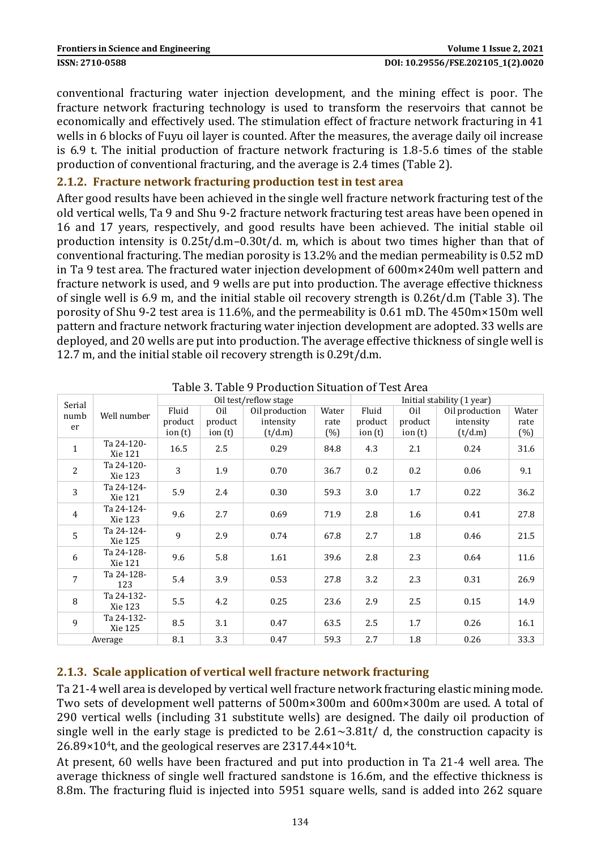conventional fracturing water injection development, and the mining effect is poor. The fracture network fracturing technology is used to transform the reservoirs that cannot be economically and effectively used. The stimulation effect of fracture network fracturing in 41 wells in 6 blocks of Fuyu oil layer is counted. After the measures, the average daily oil increase is 6.9 t. The initial production of fracture network fracturing is 1.8-5.6 times of the stable production of conventional fracturing, and the average is 2.4 times (Table 2).

#### **2.1.2. Fracture network fracturing production test in test area**

After good results have been achieved in the single well fracture network fracturing test of the old vertical wells, Ta 9 and Shu 9-2 fracture network fracturing test areas have been opened in 16 and 17 years, respectively, and good results have been achieved. The initial stable oil production intensity is 0.25t/d.m–0.30t/d. m, which is about two times higher than that of conventional fracturing. The median porosity is 13.2% and the median permeability is 0.52 mD in Ta 9 test area. The fractured water injection development of 600m×240m well pattern and fracture network is used, and 9 wells are put into production. The average effective thickness of single well is 6.9 m, and the initial stable oil recovery strength is 0.26t/d.m (Table 3). The porosity of Shu 9-2 test area is 11.6%, and the permeability is 0.61 mD. The 450m×150m well pattern and fracture network fracturing water injection development are adopted. 33 wells are deployed, and 20 wells are put into production. The average effective thickness of single well is 12.7 m, and the initial stable oil recovery strength is 0.29t/d.m.

| Serial<br>numb<br>er |                       |         |           | Oil test/reflow stage |       |           | Initial stability (1 year) |                |       |  |  |  |
|----------------------|-----------------------|---------|-----------|-----------------------|-------|-----------|----------------------------|----------------|-------|--|--|--|
|                      | Well number           | Fluid   | Oil       | Oil production        | Water | Fluid     | Oil                        | Oil production | Water |  |  |  |
|                      |                       | product | product   | intensity             | rate  | product   | product                    | intensity      | rate  |  |  |  |
|                      |                       | ion(t)  | ion $(t)$ | (t/d.m)               | (%)   | ion $(t)$ | ion $(t)$                  | (t/d.m)        | (%)   |  |  |  |
| $\mathbf{1}$         | Ta 24-120-<br>Xie 121 | 16.5    | 2.5       | 0.29                  | 84.8  | 4.3       | 2.1                        | 0.24           | 31.6  |  |  |  |
| $\overline{2}$       | Ta 24-120-<br>Xie 123 | 3       | 1.9       | 0.70                  | 36.7  | 0.2       | 0.2                        | 0.06           | 9.1   |  |  |  |
| 3                    | Ta 24-124-<br>Xie 121 | 5.9     | 2.4       | 0.30                  | 59.3  | 3.0       | 1.7                        | 0.22           | 36.2  |  |  |  |
| $\overline{4}$       | Ta 24-124-<br>Xie 123 | 9.6     | 2.7       | 0.69                  | 71.9  | 2.8       | 1.6                        | 0.41           | 27.8  |  |  |  |
| 5                    | Ta 24-124-<br>Xie 125 | 9       | 2.9       | 0.74                  | 67.8  | 2.7       | 1.8                        | 0.46           | 21.5  |  |  |  |
| 6                    | Ta 24-128-<br>Xie 121 | 9.6     | 5.8       | 1.61                  | 39.6  | 2.8       | 2.3                        | 0.64           | 11.6  |  |  |  |
| $\overline{7}$       | Ta 24-128-<br>123     | 5.4     | 3.9       | 0.53                  | 27.8  | 3.2       | 2.3                        | 0.31           | 26.9  |  |  |  |
| 8                    | Ta 24-132-<br>Xie 123 | 5.5     | 4.2       | 0.25                  | 23.6  | 2.9       | 2.5                        | 0.15           | 14.9  |  |  |  |
| 9                    | Ta 24-132-<br>Xie 125 | 8.5     | 3.1       | 0.47                  | 63.5  | 2.5       | 1.7                        | 0.26           | 16.1  |  |  |  |
| Average              |                       | 8.1     | 3.3       | 0.47                  | 59.3  | 2.7       | 1.8                        | 0.26           | 33.3  |  |  |  |

#### **2.1.3. Scale application of vertical well fracture network fracturing**

Ta 21-4 well area is developed by vertical well fracture network fracturing elastic mining mode. Two sets of development well patterns of 500m×300m and 600m×300m are used. A total of 290 vertical wells (including 31 substitute wells) are designed. The daily oil production of single well in the early stage is predicted to be  $2.61 \sim 3.81$ t/ d, the construction capacity is 26.89×104t, and the geological reserves are 2317.44×104t.

At present, 60 wells have been fractured and put into production in Ta 21-4 well area. The average thickness of single well fractured sandstone is 16.6m, and the effective thickness is 8.8m. The fracturing fluid is injected into 5951 square wells, sand is added into 262 square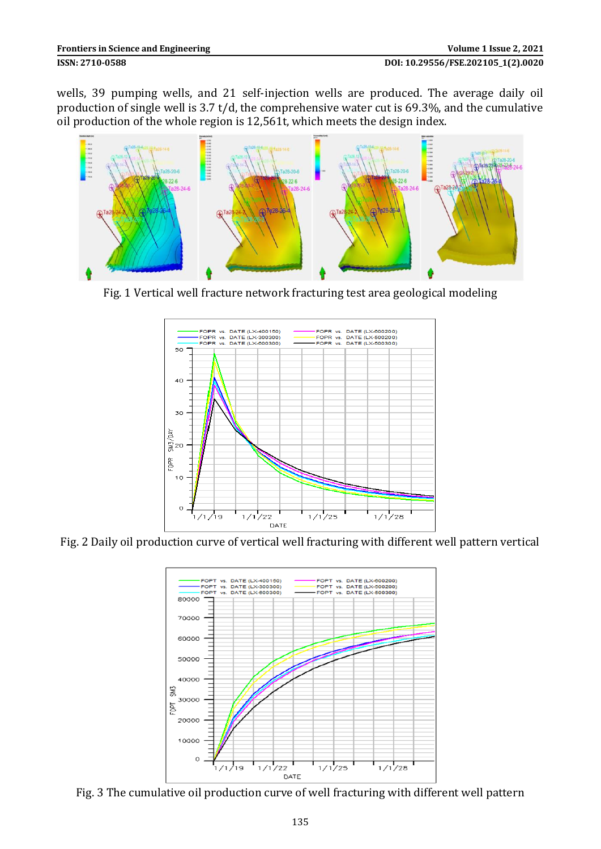wells, 39 pumping wells, and 21 self-injection wells are produced. The average daily oil production of single well is 3.7 t/d, the comprehensive water cut is 69.3%, and the cumulative oil production of the whole region is 12,561t, which meets the design index.



Fig. 1 Vertical well fracture network fracturing test area geological modeling



Fig. 2 Daily oil production curve of vertical well fracturing with different well pattern vertical



Fig. 3 The cumulative oil production curve of well fracturing with different well pattern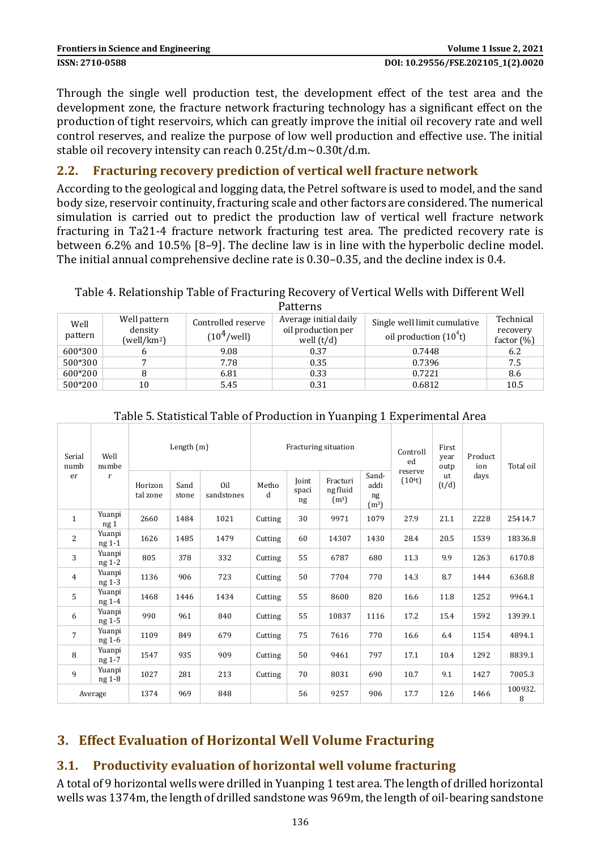Through the single well production test, the development effect of the test area and the development zone, the fracture network fracturing technology has a significant effect on the production of tight reservoirs, which can greatly improve the initial oil recovery rate and well control reserves, and realize the purpose of low well production and effective use. The initial stable oil recovery intensity can reach 0.25t/d.m~0.30t/d.m.

### **2.2. Fracturing recovery prediction of vertical well fracture network**

According to the geological and logging data, the Petrel software is used to model, and the sand body size, reservoir continuity, fracturing scale and other factors are considered. The numerical simulation is carried out to predict the production law of vertical well fracture network fracturing in Ta21-4 fracture network fracturing test area. The predicted recovery rate is between 6.2% and 10.5% [8–9]. The decline law is in line with the hyperbolic decline model. The initial annual comprehensive decline rate is 0.30–0.35, and the decline index is 0.4.

# Table 4. Relationship Table of Fracturing Recovery of Vertical Wells with Different Well

|                 |                                       |                                               | Patterns                                                    |                                                         |                                        |
|-----------------|---------------------------------------|-----------------------------------------------|-------------------------------------------------------------|---------------------------------------------------------|----------------------------------------|
| Well<br>pattern | Well pattern<br>density<br>(well/km2) | Controlled reserve<br>(10 <sup>4</sup> /well) | Average initial daily<br>oil production per<br>well $(t/d)$ | Single well limit cumulative<br>oil production $(104t)$ | Technical<br>recovery<br>factor $(\%)$ |
| 600*300         |                                       | 9.08                                          | 0.37                                                        | 0.7448                                                  | 6.2                                    |
| 500*300         |                                       | 7.78                                          | 0.35                                                        | 0.7396                                                  | 7.5                                    |
| 600*200         |                                       | 6.81                                          | 0.33                                                        | 0.7221                                                  | 8.6                                    |
| 500*200         | 10                                    | 5.45                                          | 0.31                                                        | 0.6812                                                  | 10.5                                   |

| Serial<br>numb<br>er | Well<br>numbe<br>$\mathbf{r}$ | Length $(m)$        |               |                   |            |                             | Fracturing situation                      |                                          | Controll<br>ed                 | First<br>year<br>outp | Product<br>ion | Total oil    |
|----------------------|-------------------------------|---------------------|---------------|-------------------|------------|-----------------------------|-------------------------------------------|------------------------------------------|--------------------------------|-----------------------|----------------|--------------|
|                      |                               | Horizon<br>tal zone | Sand<br>stone | Oil<br>sandstones | Metho<br>d | <b>Ioint</b><br>spaci<br>ng | Fracturi<br>ng fluid<br>(m <sup>3</sup> ) | Sand-<br>addi<br>ng<br>(m <sup>3</sup> ) | reserve<br>(10 <sup>4</sup> t) | ut<br>(t/d)           | days           |              |
| $\mathbf{1}$         | Yuanpi<br>ng <sub>1</sub>     | 2660                | 1484          | 1021              | Cutting    | 30                          | 9971                                      | 1079                                     | 27.9                           | 21.1                  | 2228           | 25414.7      |
| 2                    | Yuanpi<br>ng 1-1              | 1626                | 1485          | 1479              | Cutting    | 60                          | 14307                                     | 1430                                     | 28.4                           | 20.5                  | 1539           | 18336.8      |
| 3                    | Yuanpi<br>ng 1-2              | 805                 | 378           | 332               | Cutting    | 55                          | 6787                                      | 680                                      | 11.3                           | 9.9                   | 1263           | 6170.8       |
| $\overline{4}$       | Yuanpi<br>ng 1-3              | 1136                | 906           | 723               | Cutting    | 50                          | 7704                                      | 770                                      | 14.3                           | 8.7                   | 1444           | 6368.8       |
| 5                    | Yuanpi<br>ng 1-4              | 1468                | 1446          | 1434              | Cutting    | 55                          | 8600                                      | 820                                      | 16.6                           | 11.8                  | 1252           | 9964.1       |
| 6                    | Yuanpi<br>ng 1-5              | 990                 | 961           | 840               | Cutting    | 55                          | 10837                                     | 1116                                     | 17.2                           | 15.4                  | 1592           | 13939.1      |
| $\overline{7}$       | Yuanpi<br>ng 1-6              | 1109                | 849           | 679               | Cutting    | 75                          | 7616                                      | 770                                      | 16.6                           | 6.4                   | 1154           | 4894.1       |
| 8                    | Yuanpi<br>ng 1-7              | 1547                | 935           | 909               | Cutting    | 50                          | 9461                                      | 797                                      | 17.1                           | 10.4                  | 1292           | 8839.1       |
| $\mathbf{q}$         | Yuanpi<br>ng 1-8              | 1027                | 281           | 213               | Cutting    | 70                          | 8031                                      | 690                                      | 10.7                           | 9.1                   | 1427           | 7005.3       |
|                      | Average                       | 1374                | 969           | 848               |            | 56                          | 9257                                      | 906                                      | 17.7                           | 12.6                  | 1466           | 100932.<br>8 |

#### Table 5. Statistical Table of Production in Yuanping 1 Experimental Area

# **3. Effect Evaluation of Horizontal Well Volume Fracturing**

# **3.1. Productivity evaluation of horizontal well volume fracturing**

A total of 9 horizontal wells were drilled in Yuanping 1 test area. The length of drilled horizontal wells was 1374m, the length of drilled sandstone was 969m, the length of oil-bearing sandstone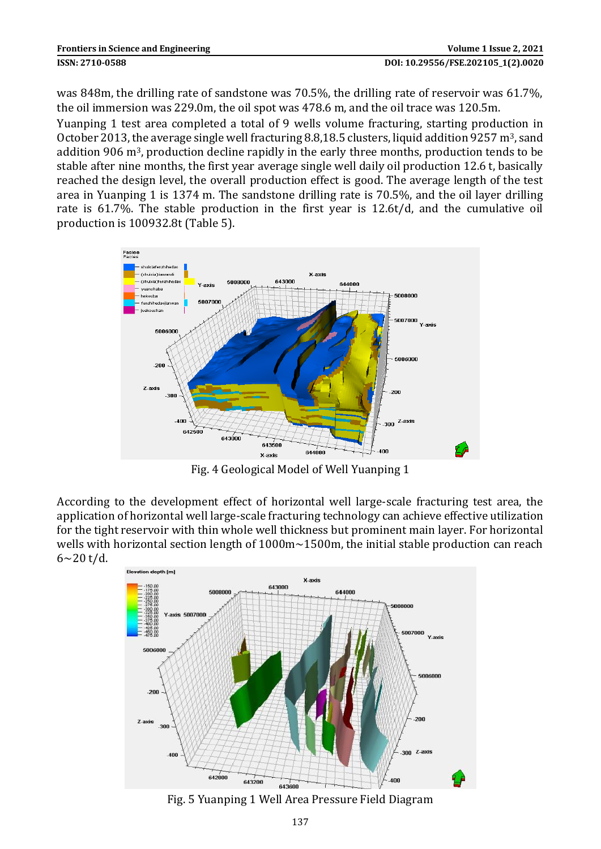was 848m, the drilling rate of sandstone was 70.5%, the drilling rate of reservoir was 61.7%, the oil immersion was 229.0m, the oil spot was 478.6 m, and the oil trace was 120.5m.

Yuanping 1 test area completed a total of 9 wells volume fracturing, starting production in October 2013, the average single well fracturing 8.8,18.5 clusters, liquid addition 9257 m<sup>3</sup>, sand addition 906 m3, production decline rapidly in the early three months, production tends to be stable after nine months, the first year average single well daily oil production 12.6 t, basically reached the design level, the overall production effect is good. The average length of the test area in Yuanping 1 is 1374 m. The sandstone drilling rate is 70.5%, and the oil layer drilling rate is 61.7%. The stable production in the first year is 12.6t/d, and the cumulative oil production is 100932.8t (Table 5).



Fig. 4 Geological Model of Well Yuanping 1

According to the development effect of horizontal well large-scale fracturing test area, the application of horizontal well large-scale fracturing technology can achieve effective utilization for the tight reservoir with thin whole well thickness but prominent main layer. For horizontal wells with horizontal section length of 1000m~1500m, the initial stable production can reach  $6 - 20$  t/d.



Fig. 5 Yuanping 1 Well Area Pressure Field Diagram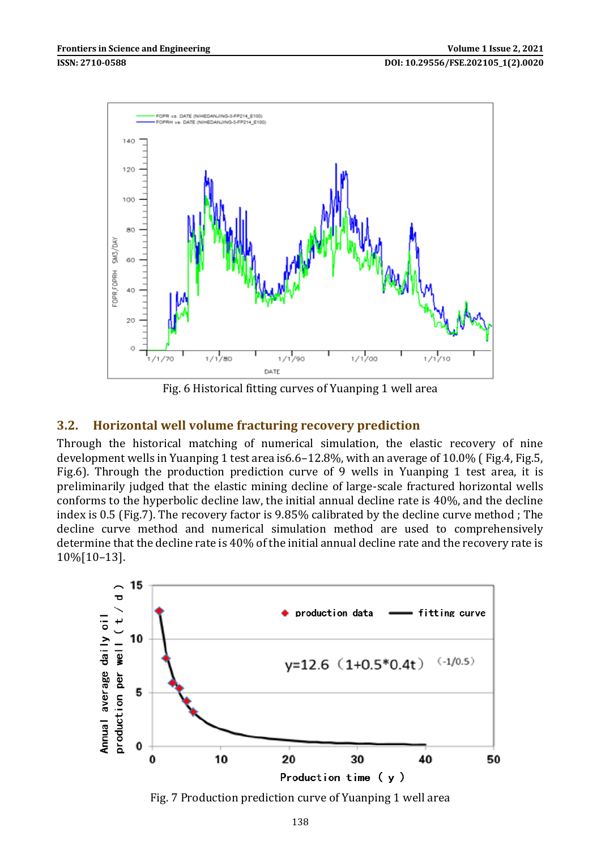

Fig. 6 Historical fitting curves of Yuanping 1 well area

#### **3.2. Horizontal well volume fracturing recovery prediction**

Through the historical matching of numerical simulation, the elastic recovery of nine development wells in Yuanping 1 test area is6.6–12.8%, with an average of 10.0% ( Fig.4, Fig.5, Fig.6). Through the production prediction curve of 9 wells in Yuanping 1 test area, it is preliminarily judged that the elastic mining decline of large-scale fractured horizontal wells conforms to the hyperbolic decline law, the initial annual decline rate is 40%, and the decline index is 0.5 (Fig.7). The recovery factor is 9.85% calibrated by the decline curve method ; The decline curve method and numerical simulation method are used to comprehensively determine that the decline rate is 40% of the initial annual decline rate and the recovery rate is 10%[10–13].



Fig. 7 Production prediction curve of Yuanping 1 well area